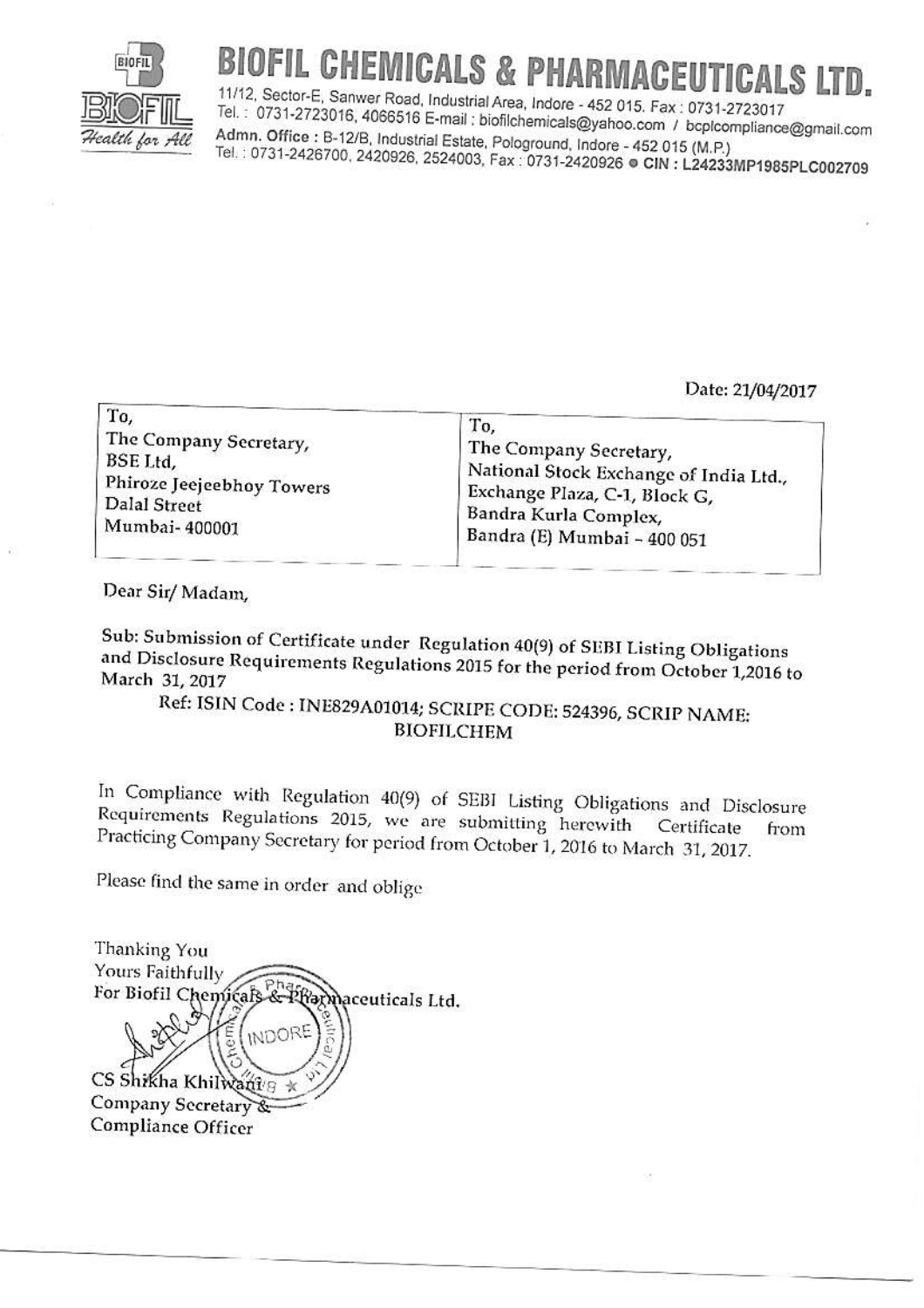

## BIOFIL CHEMICALS & PHARMACEUTICALS LTD.

11/12, Sector-E, Sanwer Road, Industrial Area, Indore - 452 015. Fax: 0731-2723017 Tel.: 0731-2723016, 4066516 E-mail: biofilchemicals@yahoo.com / bcplcompliance@gmail.com Admn. Office: B-12/B, Industrial Estate, Pologround, Indore - 452 015 (M.P.) Tel.: 0731-2426700, 2420926, 2524003, Fax: 0731-2420926 @ CIN: L24233MP1985PLC002709

Date: 21/04/2017

| The Company Secretary,                                                                                                            |
|-----------------------------------------------------------------------------------------------------------------------------------|
| National Stock Exchange of India Ltd.,<br>Exchange Plaza, C-1, Block G,<br>Bandra Kurla Complex,<br>, Bandra (E) Mumbai - 400 051 |
|                                                                                                                                   |

Dear Sir/Madam,

Sub: Submission of Certificate under Regulation 40(9) of SEBI Listing Obligations and Disclosure Requirements Regulations 2015 for the period from October 1,2016 to March 31, 2017

Ref: ISIN Code : INE829A01014; SCRIPE CODE: 524396, SCRIP NAME: **BIOFILCHEM** 

In Compliance with Regulation 40(9) of SEBI Listing Obligations and Disclosure Requirements Regulations 2015, we are submitting herewith Certificate from Practicing Company Secretary for period from October 1, 2016 to March 31, 2017.

Please find the same in order and oblige

Thanking You Yours Faithfully For Biofil Chemicals Prarmaceuticals Ltd. **INDOF** CS Shikha Khi Company Secretary Compliance Officer